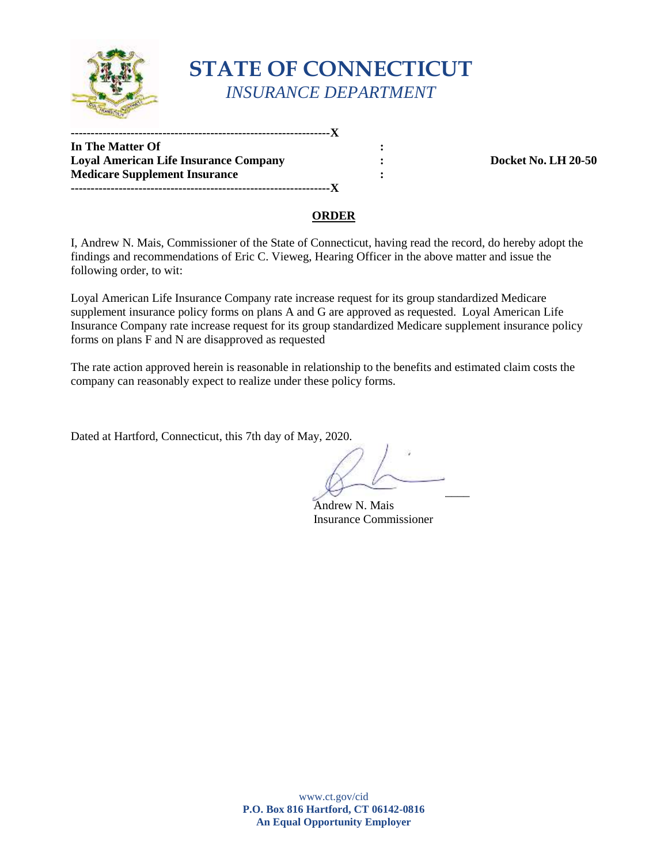

# **STATE OF CONNECTICUT**  *INSURANCE DEPARTMENT*

**-----------------------------------------------------------------X** 

**In The Matter Of :**   $\cdot$  : **Loyal American Life Insurance Company**  $\qquad \qquad :$  **Docket No. LH 20-50 Medicare Supplement Insurance :**  $\qquad \qquad$  **: -----------------------------------------------------------------X** 

#### **ORDER**

 I, Andrew N. Mais, Commissioner of the State of Connecticut, having read the record, do hereby adopt the findings and recommendations of Eric C. Vieweg, Hearing Officer in the above matter and issue the following order, to wit:

 supplement insurance policy forms on plans A and G are approved as requested. Loyal American Life Insurance Company rate increase request for its group standardized Medicare supplement insurance policy forms on plans F and N are disapproved as requested Loyal American Life Insurance Company rate increase request for its group standardized Medicare

 company can reasonably expect to realize under these policy forms. The rate action approved herein is reasonable in relationship to the benefits and estimated claim costs the

Dated at Hartford, Connecticut, this 7th day of May, 2020.

 $\forall$ 

Andrew N. Mais Insurance Commissioner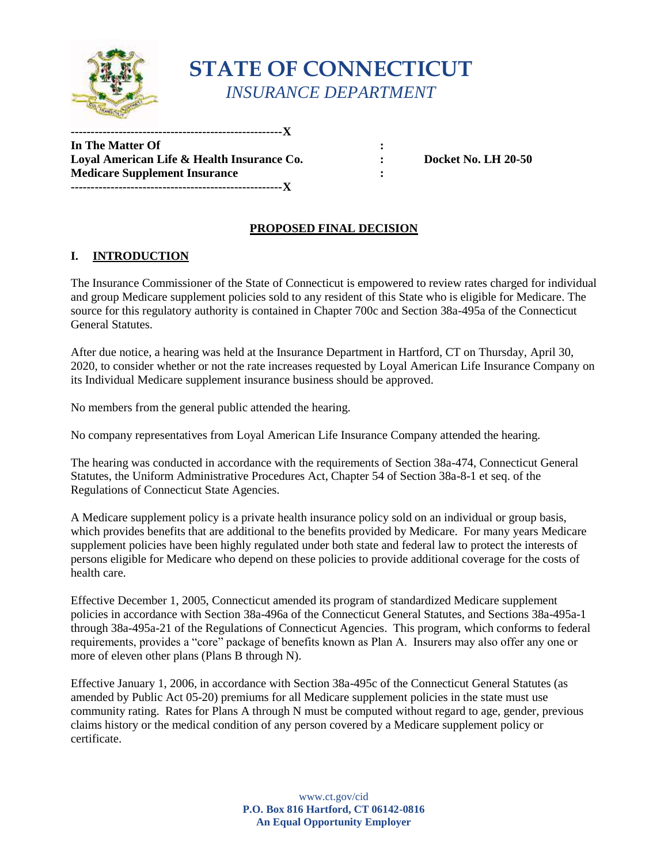

## **STATE OF CONNECTICUT**  *INSURANCE DEPARTMENT*

**In The Matter Of :**   $\cdot$  :  **Loyal American Life & Health Insurance Co. : Docket No. LH 20-50 Medicare Supplement Insurance :**  $\qquad \qquad$  **: -----------------------------------------------------X** 

**-----------------------------------------------------X** 

## **PROPOSED FINAL DECISION**

### **I. INTRODUCTION**

 The Insurance Commissioner of the State of Connecticut is empowered to review rates charged for individual and group Medicare supplement policies sold to any resident of this State who is eligible for Medicare. The source for this regulatory authority is contained in Chapter 700c and Section 38a-495a of the Connecticut General Statutes.

After due notice, a hearing was held at the Insurance Department in Hartford, CT on Thursday, April 30, 2020, to consider whether or not the rate increases requested by Loyal American Life Insurance Company on its Individual Medicare supplement insurance business should be approved.

No members from the general public attended the hearing.

No company representatives from Loyal American Life Insurance Company attended the hearing.

 Statutes, the Uniform Administrative Procedures Act, Chapter 54 of Section 38a-8-1 et seq. of the The hearing was conducted in accordance with the requirements of Section 38a-474, Connecticut General Regulations of Connecticut State Agencies.

 persons eligible for Medicare who depend on these policies to provide additional coverage for the costs of A Medicare supplement policy is a private health insurance policy sold on an individual or group basis, which provides benefits that are additional to the benefits provided by Medicare. For many years Medicare supplement policies have been highly regulated under both state and federal law to protect the interests of health care.

Effective December 1, 2005, Connecticut amended its program of standardized Medicare supplement policies in accordance with Section 38a-496a of the Connecticut General Statutes, and Sections 38a-495a-1 through 38a-495a-21 of the Regulations of Connecticut Agencies. This program, which conforms to federal requirements, provides a "core" package of benefits known as Plan A. Insurers may also offer any one or more of eleven other plans (Plans B through N).

 Effective January 1, 2006, in accordance with Section 38a-495c of the Connecticut General Statutes (as community rating. Rates for Plans A through N must be computed without regard to age, gender, previous amended by Public Act 05-20) premiums for all Medicare supplement policies in the state must use claims history or the medical condition of any person covered by a Medicare supplement policy or certificate.

> **P.O. Box 816 Hartford, CT 06142-0816**  www.ct.gov/cid **An Equal Opportunity Employer**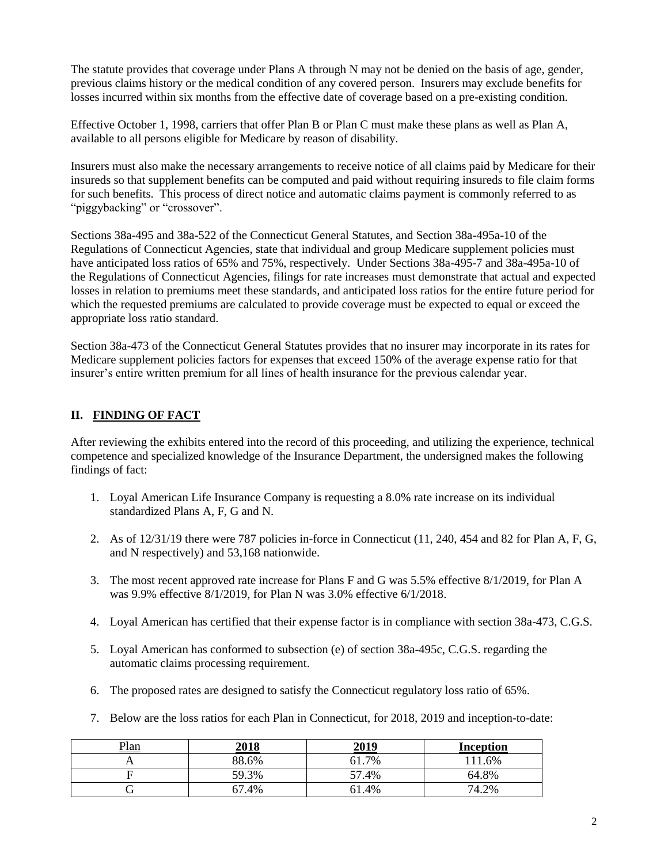previous claims history or the medical condition of any covered person. Insurers may exclude benefits for The statute provides that coverage under Plans A through N may not be denied on the basis of age, gender, losses incurred within six months from the effective date of coverage based on a pre-existing condition.

 available to all persons eligible for Medicare by reason of disability. Effective October 1, 1998, carriers that offer Plan B or Plan C must make these plans as well as Plan A,

 for such benefits. This process of direct notice and automatic claims payment is commonly referred to as Insurers must also make the necessary arrangements to receive notice of all claims paid by Medicare for their insureds so that supplement benefits can be computed and paid without requiring insureds to file claim forms "piggybacking" or "crossover".

Sections 38a-495 and 38a-522 of the Connecticut General Statutes, and Section 38a-495a-10 of the Regulations of Connecticut Agencies, state that individual and group Medicare supplement policies must have anticipated loss ratios of 65% and 75%, respectively. Under Sections 38a-495-7 and 38a-495a-10 of the Regulations of Connecticut Agencies, filings for rate increases must demonstrate that actual and expected losses in relation to premiums meet these standards, and anticipated loss ratios for the entire future period for which the requested premiums are calculated to provide coverage must be expected to equal or exceed the appropriate loss ratio standard.

 Section 38a-473 of the Connecticut General Statutes provides that no insurer may incorporate in its rates for Medicare supplement policies factors for expenses that exceed 150% of the average expense ratio for that insurer's entire written premium for all lines of health insurance for the previous calendar year.

## **II. FINDING OF FACT**

 findings of fact: After reviewing the exhibits entered into the record of this proceeding, and utilizing the experience, technical competence and specialized knowledge of the Insurance Department, the undersigned makes the following

- 1. Loyal American Life Insurance Company is requesting a 8.0% rate increase on its individual standardized Plans A, F, G and N.
- 2. As of 12/31/19 there were 787 policies in-force in Connecticut (11, 240, 454 and 82 for Plan A, F, G, and N respectively) and 53,168 nationwide.
- 3. The most recent approved rate increase for Plans F and G was 5.5% effective 8/1/2019, for Plan A was 9.9% effective 8/1/2019, for Plan N was 3.0% effective 6/1/2018.
- 4. Loyal American has certified that their expense factor is in compliance with section 38a-473, C.G.S.
- 5. Loyal American has conformed to subsection (e) of section 38a-495c, C.G.S. regarding the automatic claims processing requirement.
- 6. The proposed rates are designed to satisfy the Connecticut regulatory loss ratio of 65%.
- 7. Below are the loss ratios for each Plan in Connecticut, for 2018, 2019 and inception-to-date:

| Plan | <u>2018</u> | <u>2019</u> | <b>Inception</b> |
|------|-------------|-------------|------------------|
|      | 88.6%       | 61.7%       | 11.6%            |
|      | 59.3%       | 57.4%       | 64.8%            |
|      | 67.4%       | 61.4%       | 74.2%            |